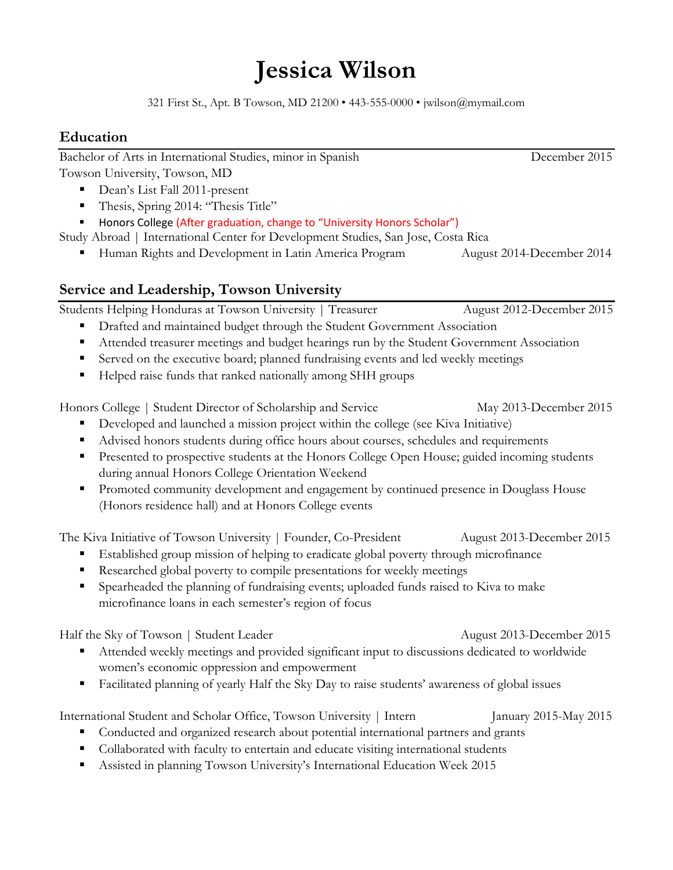# **Jessica Wilson**

321 First St., Apt. B Towson, MD 21200 • 443-555-0000 • jwilson@mymail.com

## **Education**

Bachelor of Arts in International Studies, minor in Spanish December 2015 Towson University, Towson, MD

- Dean's List Fall 2011-present
- Thesis, Spring 2014: "Thesis Title"
- Honors College (After graduation, change to "University Honors Scholar")

Study Abroad | International Center for Development Studies, San Jose, Costa Rica

Human Rights and Development in Latin America Program August 2014-December 2014

# **Service and Leadership, Towson University**

Students Helping Honduras at Towson University | Treasurer August 2012-December 2015

- **•** Drafted and maintained budget through the Student Government Association
- Attended treasurer meetings and budget hearings run by the Student Government Association
- Served on the executive board; planned fundraising events and led weekly meetings
- Helped raise funds that ranked nationally among SHH groups

Honors College | Student Director of Scholarship and Service May 2013-December 2015

- Developed and launched a mission project within the college (see Kiva Initiative)
- Advised honors students during office hours about courses, schedules and requirements
- **Presented to prospective students at the Honors College Open House; guided incoming students** during annual Honors College Orientation Weekend
- **Promoted community development and engagement by continued presence in Douglass House** (Honors residence hall) and at Honors College events

The Kiva Initiative of Towson University | Founder, Co-President August 2013-December 2015

- Established group mission of helping to eradicate global poverty through microfinance
- Researched global poverty to compile presentations for weekly meetings
- Spearheaded the planning of fundraising events; uploaded funds raised to Kiva to make microfinance loans in each semester's region of focus

Half the Sky of Towson | Student Leader August 2013-December 2015

- Attended weekly meetings and provided significant input to discussions dedicated to worldwide women's economic oppression and empowerment
- Facilitated planning of yearly Half the Sky Day to raise students' awareness of global issues

International Student and Scholar Office, Towson University | Intern January 2015-May 2015

- Conducted and organized research about potential international partners and grants
- Collaborated with faculty to entertain and educate visiting international students
- Assisted in planning Towson University's International Education Week 2015